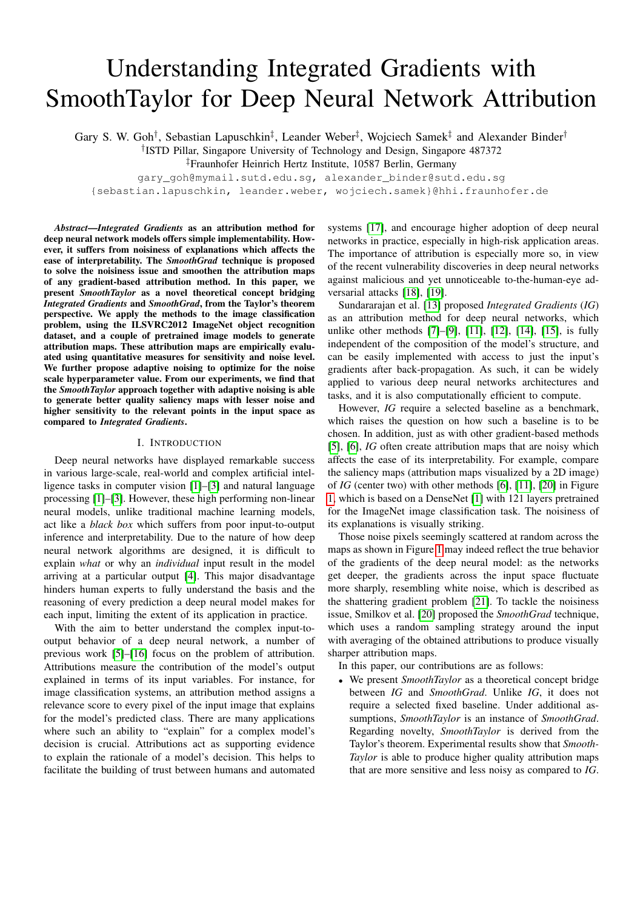# Understanding Integrated Gradients with SmoothTaylor for Deep Neural Network Attribution

Gary S. W. Goh<sup>†</sup>, Sebastian Lapuschkin<sup>‡</sup>, Leander Weber<sup>‡</sup>, Wojciech Samek<sup>‡</sup> and Alexander Binder<sup>†</sup>

† ISTD Pillar, Singapore University of Technology and Design, Singapore 487372

‡Fraunhofer Heinrich Hertz Institute, 10587 Berlin, Germany

gary\_goh@mymail.sutd.edu.sg, alexander\_binder@sutd.edu.sg {sebastian.lapuschkin, leander.weber, wojciech.samek}@hhi.fraunhofer.de

*Abstract*—*Integrated Gradients* as an attribution method for deep neural network models offers simple implementability. However, it suffers from noisiness of explanations which affects the ease of interpretability. The *SmoothGrad* technique is proposed to solve the noisiness issue and smoothen the attribution maps of any gradient-based attribution method. In this paper, we present *SmoothTaylor* as a novel theoretical concept bridging *Integrated Gradients* and *SmoothGrad*, from the Taylor's theorem perspective. We apply the methods to the image classification problem, using the ILSVRC2012 ImageNet object recognition dataset, and a couple of pretrained image models to generate attribution maps. These attribution maps are empirically evaluated using quantitative measures for sensitivity and noise level. We further propose adaptive noising to optimize for the noise scale hyperparameter value. From our experiments, we find that the *SmoothTaylor* approach together with adaptive noising is able to generate better quality saliency maps with lesser noise and higher sensitivity to the relevant points in the input space as compared to *Integrated Gradients*.

### I. INTRODUCTION

Deep neural networks have displayed remarkable success in various large-scale, real-world and complex artificial intelligence tasks in computer vision [\[1\]](#page-7-0)–[\[3\]](#page-7-1) and natural language processing [\[1\]](#page-7-0)–[\[3\]](#page-7-1). However, these high performing non-linear neural models, unlike traditional machine learning models, act like a *black box* which suffers from poor input-to-output inference and interpretability. Due to the nature of how deep neural network algorithms are designed, it is difficult to explain *what* or why an *individual* input result in the model arriving at a particular output [\[4\]](#page-7-2). This major disadvantage hinders human experts to fully understand the basis and the reasoning of every prediction a deep neural model makes for each input, limiting the extent of its application in practice.

With the aim to better understand the complex input-tooutput behavior of a deep neural network, a number of previous work [\[5\]](#page-7-3)–[\[16\]](#page-7-4) focus on the problem of attribution. Attributions measure the contribution of the model's output explained in terms of its input variables. For instance, for image classification systems, an attribution method assigns a relevance score to every pixel of the input image that explains for the model's predicted class. There are many applications where such an ability to "explain" for a complex model's decision is crucial. Attributions act as supporting evidence to explain the rationale of a model's decision. This helps to facilitate the building of trust between humans and automated

systems [\[17\]](#page-7-5), and encourage higher adoption of deep neural networks in practice, especially in high-risk application areas. The importance of attribution is especially more so, in view of the recent vulnerability discoveries in deep neural networks against malicious and yet unnoticeable to-the-human-eye adversarial attacks [\[18\]](#page-7-6), [\[19\]](#page-7-7).

Sundararajan et al. [\[13\]](#page-7-8) proposed *Integrated Gradients* (*IG*) as an attribution method for deep neural networks, which unlike other methods [\[7\]](#page-7-9)–[\[9\]](#page-7-10), [\[11\]](#page-7-11), [\[12\]](#page-7-12), [\[14\]](#page-7-13), [\[15\]](#page-7-14), is fully independent of the composition of the model's structure, and can be easily implemented with access to just the input's gradients after back-propagation. As such, it can be widely applied to various deep neural networks architectures and tasks, and it is also computationally efficient to compute.

However, *IG* require a selected baseline as a benchmark, which raises the question on how such a baseline is to be chosen. In addition, just as with other gradient-based methods [\[5\]](#page-7-3), [\[6\]](#page-7-15), *IG* often create attribution maps that are noisy which affects the ease of its interpretability. For example, compare the saliency maps (attribution maps visualized by a 2D image) of *IG* (center two) with other methods [\[6\]](#page-7-15), [\[11\]](#page-7-11), [\[20\]](#page-7-16) in Figure [1,](#page-1-0) which is based on a DenseNet [\[1\]](#page-7-0) with 121 layers pretrained for the ImageNet image classification task. The noisiness of its explanations is visually striking.

Those noise pixels seemingly scattered at random across the maps as shown in Figure [1](#page-1-0) may indeed reflect the true behavior of the gradients of the deep neural model: as the networks get deeper, the gradients across the input space fluctuate more sharply, resembling white noise, which is described as the shattering gradient problem [\[21\]](#page-7-17). To tackle the noisiness issue, Smilkov et al. [\[20\]](#page-7-16) proposed the *SmoothGrad* technique, which uses a random sampling strategy around the input with averaging of the obtained attributions to produce visually sharper attribution maps.

In this paper, our contributions are as follows:

• We present *SmoothTaylor* as a theoretical concept bridge between *IG* and *SmoothGrad*. Unlike *IG*, it does not require a selected fixed baseline. Under additional assumptions, *SmoothTaylor* is an instance of *SmoothGrad*. Regarding novelty, *SmoothTaylor* is derived from the Taylor's theorem. Experimental results show that *Smooth-Taylor* is able to produce higher quality attribution maps that are more sensitive and less noisy as compared to *IG*.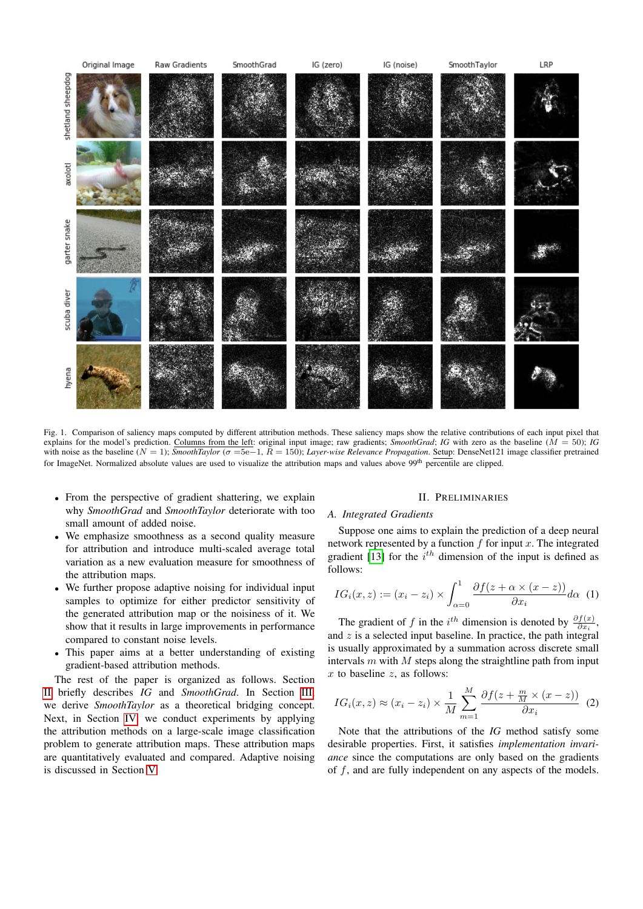

<span id="page-1-0"></span>Fig. 1. Comparison of saliency maps computed by different attribution methods. These saliency maps show the relative contributions of each input pixel that explains for the model's prediction. Columns from the left: original input image; raw gradients; *SmoothGrad*; *IG* with zero as the baseline ( $\hat{M} = 50$ ); *IG* with noise as the baseline (N = 1); *SmoothTaylor* (σ =5e−1, R = 150); *Layer-wise Relevance Propagation*. Setup: DenseNet121 image classifier pretrained for ImageNet. Normalized absolute values are used to visualize the attribution maps and values above 99<sup>th</sup> percentile are clipped.

- From the perspective of gradient shattering, we explain why *SmoothGrad* and *SmoothTaylor* deteriorate with too small amount of added noise.
- We emphasize smoothness as a second quality measure for attribution and introduce multi-scaled average total variation as a new evaluation measure for smoothness of the attribution maps.
- We further propose adaptive noising for individual input samples to optimize for either predictor sensitivity of the generated attribution map or the noisiness of it. We show that it results in large improvements in performance compared to constant noise levels.
- This paper aims at a better understanding of existing gradient-based attribution methods.

The rest of the paper is organized as follows. Section [II](#page-1-1) briefly describes *IG* and *SmoothGrad*. In Section [III,](#page-2-0) we derive *SmoothTaylor* as a theoretical bridging concept. Next, in Section [IV,](#page-3-0) we conduct experiments by applying the attribution methods on a large-scale image classification problem to generate attribution maps. These attribution maps are quantitatively evaluated and compared. Adaptive noising is discussed in Section [V.](#page-6-0)

## II. PRELIMINARIES

#### <span id="page-1-1"></span>*A. Integrated Gradients*

Suppose one aims to explain the prediction of a deep neural network represented by a function  $f$  for input  $x$ . The integrated gradient [\[13\]](#page-7-8) for the  $i<sup>th</sup>$  dimension of the input is defined as follows:

<span id="page-1-2"></span>
$$
IG_i(x, z) := (x_i - z_i) \times \int_{\alpha=0}^1 \frac{\partial f(z + \alpha \times (x - z))}{\partial x_i} d\alpha \quad (1)
$$

The gradient of f in the  $i^{th}$  dimension is denoted by  $\frac{\partial f(x)}{\partial x_i}$ , and  $z$  is a selected input baseline. In practice, the path integral is usually approximated by a summation across discrete small intervals  $m$  with  $M$  steps along the straightline path from input  $x$  to baseline  $z$ , as follows:

$$
IG_i(x, z) \approx (x_i - z_i) \times \frac{1}{M} \sum_{m=1}^{M} \frac{\partial f(z + \frac{m}{M} \times (x - z))}{\partial x_i} (2)
$$

Note that the attributions of the *IG* method satisfy some desirable properties. First, it satisfies *implementation invariance* since the computations are only based on the gradients of  $f$ , and are fully independent on any aspects of the models.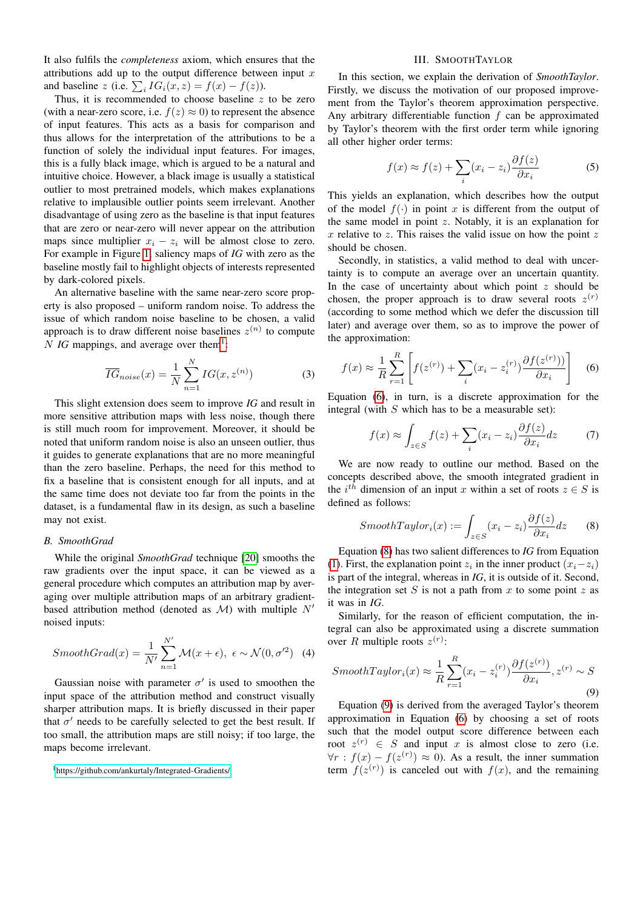It also fulfils the *completeness* axiom, which ensures that the attributions add up to the output difference between input  $x$ and baseline z (i.e.  $\sum_i IG_i(x, z) = f(x) - f(z)$ ).

Thus, it is recommended to choose baseline  $z$  to be zero (with a near-zero score, i.e.  $f(z) \approx 0$ ) to represent the absence of input features. This acts as a basis for comparison and thus allows for the interpretation of the attributions to be a function of solely the individual input features. For images, this is a fully black image, which is argued to be a natural and intuitive choice. However, a black image is usually a statistical outlier to most pretrained models, which makes explanations relative to implausible outlier points seem irrelevant. Another disadvantage of using zero as the baseline is that input features that are zero or near-zero will never appear on the attribution maps since multiplier  $x_i - z_i$  will be almost close to zero. For example in Figure [1,](#page-1-0) saliency maps of *IG* with zero as the baseline mostly fail to highlight objects of interests represented by dark-colored pixels.

An alternative baseline with the same near-zero score property is also proposed – uniform random noise. To address the issue of which random noise baseline to be chosen, a valid approach is to draw different noise baselines  $z^{(n)}$  to compute  $N$  *IG* mappings, and average over them<sup>[1](#page-2-1)</sup>:

$$
\overline{IG}_{noise}(x) = \frac{1}{N} \sum_{n=1}^{N} IG(x, z^{(n)})
$$
\n(3)

This slight extension does seem to improve *IG* and result in more sensitive attribution maps with less noise, though there is still much room for improvement. Moreover, it should be noted that uniform random noise is also an unseen outlier, thus it guides to generate explanations that are no more meaningful than the zero baseline. Perhaps, the need for this method to fix a baseline that is consistent enough for all inputs, and at the same time does not deviate too far from the points in the dataset, is a fundamental flaw in its design, as such a baseline may not exist.

#### *B. SmoothGrad*

While the original *SmoothGrad* technique [\[20\]](#page-7-16) smooths the raw gradients over the input space, it can be viewed as a general procedure which computes an attribution map by averaging over multiple attribution maps of an arbitrary gradientbased attribution method (denoted as  $\mathcal{M}$ ) with multiple  $N'$ noised inputs:

$$
SmoothGrad(x) = \frac{1}{N'} \sum_{n=1}^{N'} \mathcal{M}(x + \epsilon), \ \epsilon \sim \mathcal{N}(0, \sigma'^2)
$$
 (4)

Gaussian noise with parameter  $\sigma'$  is used to smoothen the input space of the attribution method and construct visually sharper attribution maps. It is briefly discussed in their paper that  $\sigma'$  needs to be carefully selected to get the best result. If too small, the attribution maps are still noisy; if too large, the maps become irrelevant.

#### III. SMOOTHTAYLOR

<span id="page-2-0"></span>In this section, we explain the derivation of *SmoothTaylor*. Firstly, we discuss the motivation of our proposed improvement from the Taylor's theorem approximation perspective. Any arbitrary differentiable function  $f$  can be approximated by Taylor's theorem with the first order term while ignoring all other higher order terms:

$$
f(x) \approx f(z) + \sum_{i} (x_i - z_i) \frac{\partial f(z)}{\partial x_i}
$$
 (5)

This yields an explanation, which describes how the output of the model  $f(.)$  in point x is different from the output of the same model in point  $z$ . Notably, it is an explanation for  $x$  relative to  $z$ . This raises the valid issue on how the point  $z$ should be chosen.

Secondly, in statistics, a valid method to deal with uncertainty is to compute an average over an uncertain quantity. In the case of uncertainty about which point  $z$  should be chosen, the proper approach is to draw several roots  $z^{(r)}$ (according to some method which we defer the discussion till later) and average over them, so as to improve the power of the approximation:

<span id="page-2-2"></span>
$$
f(x) \approx \frac{1}{R} \sum_{r=1}^{R} \left[ f(z^{(r)}) + \sum_{i} (x_i - z_i^{(r)}) \frac{\partial f(z^{(r)})}{\partial x_i} \right]
$$
(6)

Equation [\(6\)](#page-2-2), in turn, is a discrete approximation for the integral (with  $S$  which has to be a measurable set):

$$
f(x) \approx \int_{z \in S} f(z) + \sum_{i} (x_i - z_i) \frac{\partial f(z)}{\partial x_i} dz \tag{7}
$$

We are now ready to outline our method. Based on the concepts described above, the smooth integrated gradient in the  $i^{th}$  dimension of an input x within a set of roots  $z \in S$  is defined as follows:

<span id="page-2-3"></span>
$$
SmoothTaylor_i(x) := \int_{z \in S} (x_i - z_i) \frac{\partial f(z)}{\partial x_i} dz \qquad (8)
$$

Equation [\(8\)](#page-2-3) has two salient differences to *IG* from Equation [\(1\)](#page-1-2). First, the explanation point  $z_i$  in the inner product  $(x_i - z_i)$ is part of the integral, whereas in *IG*, it is outside of it. Second, the integration set S is not a path from x to some point z as it was in *IG*.

Similarly, for the reason of efficient computation, the integral can also be approximated using a discrete summation over R multiple roots  $z^{(r)}$ :

<span id="page-2-4"></span>
$$
SmoothTaylor_i(x) \approx \frac{1}{R} \sum_{r=1}^{R} (x_i - z_i^{(r)}) \frac{\partial f(z^{(r)})}{\partial x_i}, z^{(r)} \sim S
$$
\n(9)

Equation [\(9\)](#page-2-4) is derived from the averaged Taylor's theorem approximation in Equation [\(6\)](#page-2-2) by choosing a set of roots such that the model output score difference between each root  $z^{(r)} \in S$  and input x is almost close to zero (i.e.  $\forall r : f(x) - f(z^{(r)}) \approx 0$ . As a result, the inner summation term  $f(z^{(r)})$  is canceled out with  $f(x)$ , and the remaining

<span id="page-2-1"></span><sup>1</sup><https://github.com/ankurtaly/Integrated-Gradients/>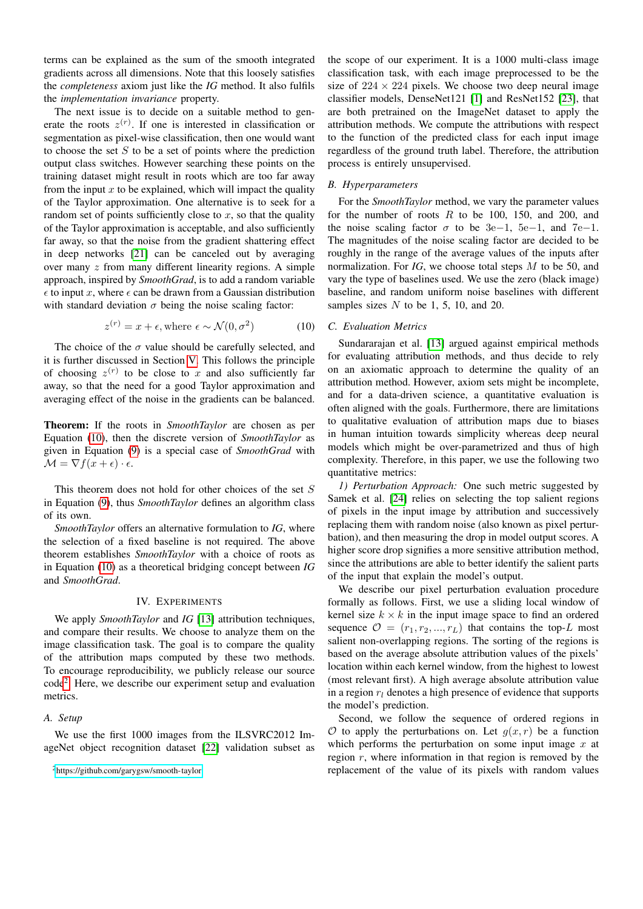terms can be explained as the sum of the smooth integrated gradients across all dimensions. Note that this loosely satisfies the *completeness* axiom just like the *IG* method. It also fulfils the *implementation invariance* property.

The next issue is to decide on a suitable method to generate the roots  $z^{(r)}$ . If one is interested in classification or segmentation as pixel-wise classification, then one would want to choose the set  $S$  to be a set of points where the prediction output class switches. However searching these points on the training dataset might result in roots which are too far away from the input  $x$  to be explained, which will impact the quality of the Taylor approximation. One alternative is to seek for a random set of points sufficiently close to x, so that the quality of the Taylor approximation is acceptable, and also sufficiently far away, so that the noise from the gradient shattering effect in deep networks [\[21\]](#page-7-17) can be canceled out by averaging over many  $z$  from many different linearity regions. A simple approach, inspired by *SmoothGrad*, is to add a random variable  $\epsilon$  to input x, where  $\epsilon$  can be drawn from a Gaussian distribution with standard deviation  $\sigma$  being the noise scaling factor:

<span id="page-3-1"></span>
$$
z^{(r)} = x + \epsilon, \text{where } \epsilon \sim \mathcal{N}(0, \sigma^2)
$$
 (10)

The choice of the  $\sigma$  value should be carefully selected, and it is further discussed in Section [V.](#page-6-0) This follows the principle of choosing  $z^{(r)}$  to be close to x and also sufficiently far away, so that the need for a good Taylor approximation and averaging effect of the noise in the gradients can be balanced.

Theorem: If the roots in *SmoothTaylor* are chosen as per Equation [\(10\)](#page-3-1), then the discrete version of *SmoothTaylor* as given in Equation [\(9\)](#page-2-4) is a special case of *SmoothGrad* with  $\mathcal{M} = \nabla f(x + \epsilon) \cdot \epsilon.$ 

This theorem does not hold for other choices of the set S in Equation [\(9\)](#page-2-4), thus *SmoothTaylor* defines an algorithm class of its own.

*SmoothTaylor* offers an alternative formulation to *IG*, where the selection of a fixed baseline is not required. The above theorem establishes *SmoothTaylor* with a choice of roots as in Equation [\(10\)](#page-3-1) as a theoretical bridging concept between *IG* and *SmoothGrad*.

# IV. EXPERIMENTS

<span id="page-3-0"></span>We apply *SmoothTaylor* and *IG* [\[13\]](#page-7-8) attribution techniques, and compare their results. We choose to analyze them on the image classification task. The goal is to compare the quality of the attribution maps computed by these two methods. To encourage reproducibility, we publicly release our source code[2](#page-3-2) . Here, we describe our experiment setup and evaluation metrics.

## *A. Setup*

We use the first 1000 images from the ILSVRC2012 ImageNet object recognition dataset [\[22\]](#page-7-18) validation subset as the scope of our experiment. It is a 1000 multi-class image classification task, with each image preprocessed to be the size of  $224 \times 224$  pixels. We choose two deep neural image classifier models, DenseNet121 [\[1\]](#page-7-0) and ResNet152 [\[23\]](#page-7-19), that are both pretrained on the ImageNet dataset to apply the attribution methods. We compute the attributions with respect to the function of the predicted class for each input image regardless of the ground truth label. Therefore, the attribution process is entirely unsupervised.

### *B. Hyperparameters*

For the *SmoothTaylor* method, we vary the parameter values for the number of roots  $R$  to be 100, 150, and 200, and the noise scaling factor  $\sigma$  to be 3e−1, 5e−1, and 7e−1. The magnitudes of the noise scaling factor are decided to be roughly in the range of the average values of the inputs after normalization. For *IG*, we choose total steps M to be 50, and vary the type of baselines used. We use the zero (black image) baseline, and random uniform noise baselines with different samples sizes  $N$  to be 1, 5, 10, and 20.

#### *C. Evaluation Metrics*

Sundararajan et al. [\[13\]](#page-7-8) argued against empirical methods for evaluating attribution methods, and thus decide to rely on an axiomatic approach to determine the quality of an attribution method. However, axiom sets might be incomplete, and for a data-driven science, a quantitative evaluation is often aligned with the goals. Furthermore, there are limitations to qualitative evaluation of attribution maps due to biases in human intuition towards simplicity whereas deep neural models which might be over-parametrized and thus of high complexity. Therefore, in this paper, we use the following two quantitative metrics:

*1) Perturbation Approach:* One such metric suggested by Samek et al. [\[24\]](#page-7-20) relies on selecting the top salient regions of pixels in the input image by attribution and successively replacing them with random noise (also known as pixel perturbation), and then measuring the drop in model output scores. A higher score drop signifies a more sensitive attribution method, since the attributions are able to better identify the salient parts of the input that explain the model's output.

We describe our pixel perturbation evaluation procedure formally as follows. First, we use a sliding local window of kernel size  $k \times k$  in the input image space to find an ordered sequence  $\mathcal{O} = (r_1, r_2, ..., r_L)$  that contains the top-L most salient non-overlapping regions. The sorting of the regions is based on the average absolute attribution values of the pixels' location within each kernel window, from the highest to lowest (most relevant first). A high average absolute attribution value in a region  $r_l$  denotes a high presence of evidence that supports the model's prediction.

Second, we follow the sequence of ordered regions in  $O$  to apply the perturbations on. Let  $g(x, r)$  be a function which performs the perturbation on some input image  $x$  at region  $r$ , where information in that region is removed by the replacement of the value of its pixels with random values

<span id="page-3-2"></span><sup>2</sup><https://github.com/garygsw/smooth-taylor>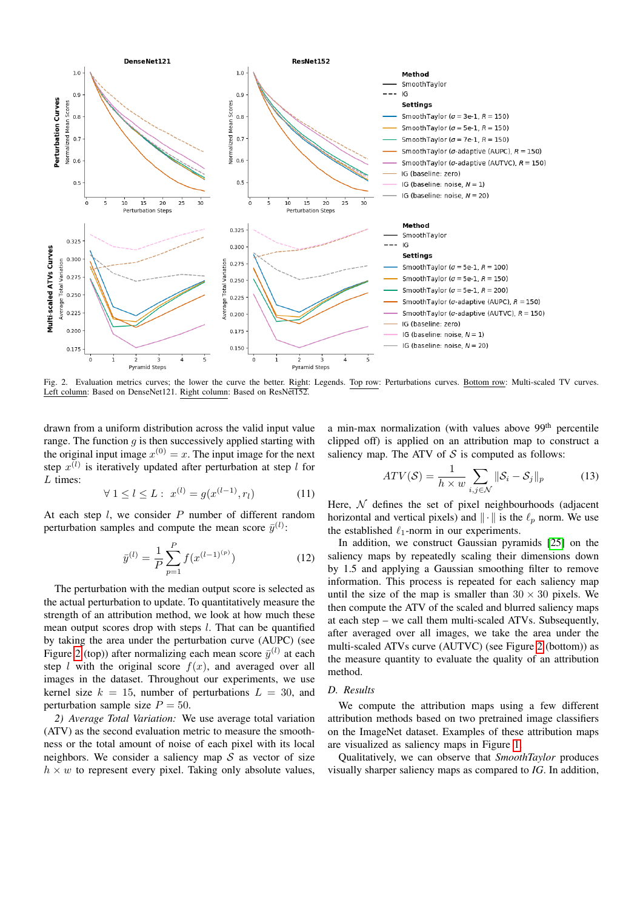

<span id="page-4-0"></span>Fig. 2. Evaluation metrics curves; the lower the curve the better. Right: Legends. Top row: Perturbations curves. Bottom row: Multi-scaled TV curves. Left column: Based on DenseNet121. Right column: Based on ResNet152.

drawn from a uniform distribution across the valid input value range. The function  $q$  is then successively applied starting with the original input image  $x^{(0)} = x$ . The input image for the next step  $x^{(l)}$  is iteratively updated after perturbation at step l for L times:

$$
\forall 1 \le l \le L: \ x^{(l)} = g(x^{(l-1)}, r_l) \tag{11}
$$

At each step  $l$ , we consider  $P$  number of different random perturbation samples and compute the mean score  $\bar{y}^{(l)}$ :

$$
\bar{y}^{(l)} = \frac{1}{P} \sum_{p=1}^{P} f(x^{(l-1)^{(p)}})
$$
\n(12)

The perturbation with the median output score is selected as the actual perturbation to update. To quantitatively measure the strength of an attribution method, we look at how much these mean output scores drop with steps  $l$ . That can be quantified by taking the area under the perturbation curve (AUPC) (see Figure [2](#page-4-0) (top)) after normalizing each mean score  $\bar{y}^{(l)}$  at each step  $l$  with the original score  $f(x)$ , and averaged over all images in the dataset. Throughout our experiments, we use kernel size  $k = 15$ , number of perturbations  $L = 30$ , and perturbation sample size  $P = 50$ .

*2) Average Total Variation:* We use average total variation (ATV) as the second evaluation metric to measure the smoothness or the total amount of noise of each pixel with its local neighbors. We consider a saliency map  $S$  as vector of size  $h \times w$  to represent every pixel. Taking only absolute values,

a min-max normalization (with values above 99<sup>th</sup> percentile clipped off) is applied on an attribution map to construct a saliency map. The ATV of  $S$  is computed as follows:

$$
ATV(\mathcal{S}) = \frac{1}{h \times w} \sum_{i,j \in \mathcal{N}} ||\mathcal{S}_i - \mathcal{S}_j||_p \tag{13}
$$

Here,  $N$  defines the set of pixel neighbourhoods (adjacent horizontal and vertical pixels) and  $\|\cdot\|$  is the  $\ell_p$  norm. We use the established  $\ell_1$ -norm in our experiments.

In addition, we construct Gaussian pyramids [\[25\]](#page-7-21) on the saliency maps by repeatedly scaling their dimensions down by 1.5 and applying a Gaussian smoothing filter to remove information. This process is repeated for each saliency map until the size of the map is smaller than  $30 \times 30$  pixels. We then compute the ATV of the scaled and blurred saliency maps at each step – we call them multi-scaled ATVs. Subsequently, after averaged over all images, we take the area under the multi-scaled ATVs curve (AUTVC) (see Figure [2](#page-4-0) (bottom)) as the measure quantity to evaluate the quality of an attribution method.

#### *D. Results*

We compute the attribution maps using a few different attribution methods based on two pretrained image classifiers on the ImageNet dataset. Examples of these attribution maps are visualized as saliency maps in Figure [1.](#page-1-0)

Qualitatively, we can observe that *SmoothTaylor* produces visually sharper saliency maps as compared to *IG*. In addition,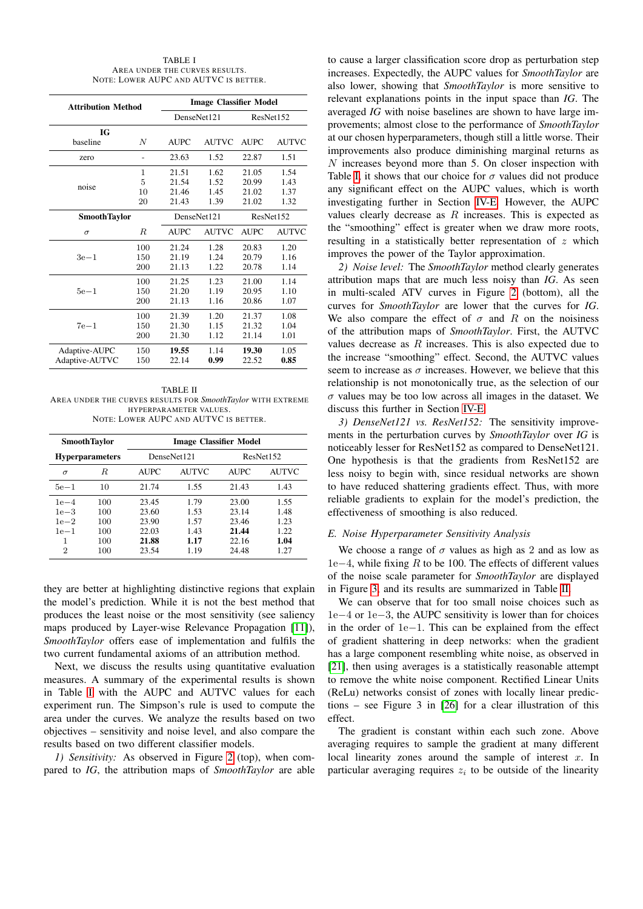| TABLE I                               |
|---------------------------------------|
| AREA UNDER THE CURVES RESULTS.        |
| NOTE: LOWER AUPC AND AUTVC IS BETTER. |

<span id="page-5-0"></span>

| <b>Attribution Method</b> |     | <b>Image Classifier Model</b> |              |             |              |
|---------------------------|-----|-------------------------------|--------------|-------------|--------------|
|                           |     | DenseNet121                   |              | ResNet152   |              |
| IG                        |     |                               |              |             |              |
| baseline                  | N   | <b>AUPC</b>                   | <b>AUTVC</b> | <b>AUPC</b> | <b>AUTVC</b> |
| zero                      |     | 23.63                         | 1.52         | 22.87       | 1.51         |
|                           | 1   | 21.51                         | 1.62         | 21.05       | 1.54         |
| noise                     | 5   | 21.54                         | 1.52         | 20.99       | 1.43         |
|                           | 10  | 21.46                         | 1.45         | 21.02       | 1.37         |
|                           | 20  | 21.43                         | 1.39         | 21.02       | 1.32         |
| <b>SmoothTaylor</b>       |     | DenseNet121                   |              | ResNet152   |              |
| $\sigma$                  | R.  | <b>AUPC</b>                   | <b>AUTVC</b> | <b>AUPC</b> | <b>AUTVC</b> |
|                           | 100 | 21.24                         | 1.28         | 20.83       | 1.20         |
| $3e-1$                    | 150 | 21.19                         | 1.24         | 20.79       | 1.16         |
|                           | 200 | 21.13                         | 1.22         | 20.78       | 1.14         |
| $5e-1$                    | 100 | 21.25                         | 1.23         | 21.00       | 1.14         |
|                           | 150 | 21.20                         | 1.19         | 20.95       | 1.10         |
|                           | 200 | 21.13                         | 1.16         | 20.86       | 1.07         |
| $7e-1$                    | 100 | 21.39                         | 1.20         | 21.37       | 1.08         |
|                           | 150 | 21.30                         | 1.15         | 21.32       | 1.04         |
|                           | 200 | 21.30                         | 1.12         | 21.14       | 1.01         |
| Adaptive-AUPC             | 150 | 19.55                         | 1.14         | 19.30       | 1.05         |
| Adaptive-AUTVC            | 150 | 22.14                         | 0.99         | 22.52       | 0.85         |

<span id="page-5-2"></span>TABLE II AREA UNDER THE CURVES RESULTS FOR *SmoothTaylor* WITH EXTREME HYPERPARAMETER VALUES. NOTE: LOWER AUPC AND AUTVC IS BETTER.

| <b>SmoothTaylor</b>        |                   | Image Classifier Model  |                      |                         |                      |  |
|----------------------------|-------------------|-------------------------|----------------------|-------------------------|----------------------|--|
| <b>Hyperparameters</b>     |                   | DenseNet121             |                      | ResNet152               |                      |  |
| $\sigma$                   | R.                | <b>AUPC</b>             | <b>AUTVC</b>         | <b>AUPC</b>             | <b>AUTVC</b>         |  |
| $5e-1$                     | 10                | 21.74                   | 1.55                 | 21.43                   | 1.43                 |  |
| $1e-4$<br>$1e-3$<br>$1e-2$ | 100<br>100<br>100 | 23.45<br>23.60<br>23.90 | 1.79<br>1.53<br>1.57 | 23.00<br>23.14<br>23.46 | 1.55<br>1.48<br>1.23 |  |
| $1e-1$<br>1<br>2           | 100<br>100<br>100 | 22.03<br>21.88<br>23.54 | 1.43<br>1.17<br>1.19 | 21.44<br>22.16<br>24.48 | 1.22<br>1.04<br>1.27 |  |

they are better at highlighting distinctive regions that explain the model's prediction. While it is not the best method that produces the least noise or the most sensitivity (see saliency maps produced by Layer-wise Relevance Propagation [\[11\]](#page-7-11)), *SmoothTaylor* offers ease of implementation and fulfils the two current fundamental axioms of an attribution method.

Next, we discuss the results using quantitative evaluation measures. A summary of the experimental results is shown in Table [I](#page-5-0) with the AUPC and AUTVC values for each experiment run. The Simpson's rule is used to compute the area under the curves. We analyze the results based on two objectives – sensitivity and noise level, and also compare the results based on two different classifier models.

*1) Sensitivity:* As observed in Figure [2](#page-4-0) (top), when compared to *IG*, the attribution maps of *SmoothTaylor* are able

to cause a larger classification score drop as perturbation step increases. Expectedly, the AUPC values for *SmoothTaylor* are also lower, showing that *SmoothTaylor* is more sensitive to relevant explanations points in the input space than *IG*. The averaged *IG* with noise baselines are shown to have large improvements; almost close to the performance of *SmoothTaylor* at our chosen hyperparameters, though still a little worse. Their improvements also produce diminishing marginal returns as N increases beyond more than 5. On closer inspection with Table [I,](#page-5-0) it shows that our choice for  $\sigma$  values did not produce any significant effect on the AUPC values, which is worth investigating further in Section [IV-E.](#page-5-1) However, the AUPC values clearly decrease as  $R$  increases. This is expected as the "smoothing" effect is greater when we draw more roots, resulting in a statistically better representation of  $z$  which improves the power of the Taylor approximation.

*2) Noise level:* The *SmoothTaylor* method clearly generates attribution maps that are much less noisy than *IG*. As seen in multi-scaled ATV curves in Figure [2](#page-4-0) (bottom), all the curves for *SmoothTaylor* are lower that the curves for *IG*. We also compare the effect of  $\sigma$  and R on the noisiness of the attribution maps of *SmoothTaylor*. First, the AUTVC values decrease as  $R$  increases. This is also expected due to the increase "smoothing" effect. Second, the AUTVC values seem to increase as  $\sigma$  increases. However, we believe that this relationship is not monotonically true, as the selection of our  $\sigma$  values may be too low across all images in the dataset. We discuss this further in Section [IV-E.](#page-5-1)

*3) DenseNet121 vs. ResNet152:* The sensitivity improvements in the perturbation curves by *SmoothTaylor* over *IG* is noticeably lesser for ResNet152 as compared to DenseNet121. One hypothesis is that the gradients from ResNet152 are less noisy to begin with, since residual networks are shown to have reduced shattering gradients effect. Thus, with more reliable gradients to explain for the model's prediction, the effectiveness of smoothing is also reduced.

#### <span id="page-5-1"></span>*E. Noise Hyperparameter Sensitivity Analysis*

We choose a range of  $\sigma$  values as high as 2 and as low as 1e−4, while fixing R to be 100. The effects of different values of the noise scale parameter for *SmoothTaylor* are displayed in Figure [3,](#page-6-1) and its results are summarized in Table [II.](#page-5-2)

We can observe that for too small noise choices such as 1e−4 or 1e−3, the AUPC sensitivity is lower than for choices in the order of 1e−1. This can be explained from the effect of gradient shattering in deep networks: when the gradient has a large component resembling white noise, as observed in [\[21\]](#page-7-17), then using averages is a statistically reasonable attempt to remove the white noise component. Rectified Linear Units (ReLu) networks consist of zones with locally linear predictions – see Figure 3 in [\[26\]](#page-7-22) for a clear illustration of this effect.

The gradient is constant within each such zone. Above averaging requires to sample the gradient at many different local linearity zones around the sample of interest  $x$ . In particular averaging requires  $z_i$  to be outside of the linearity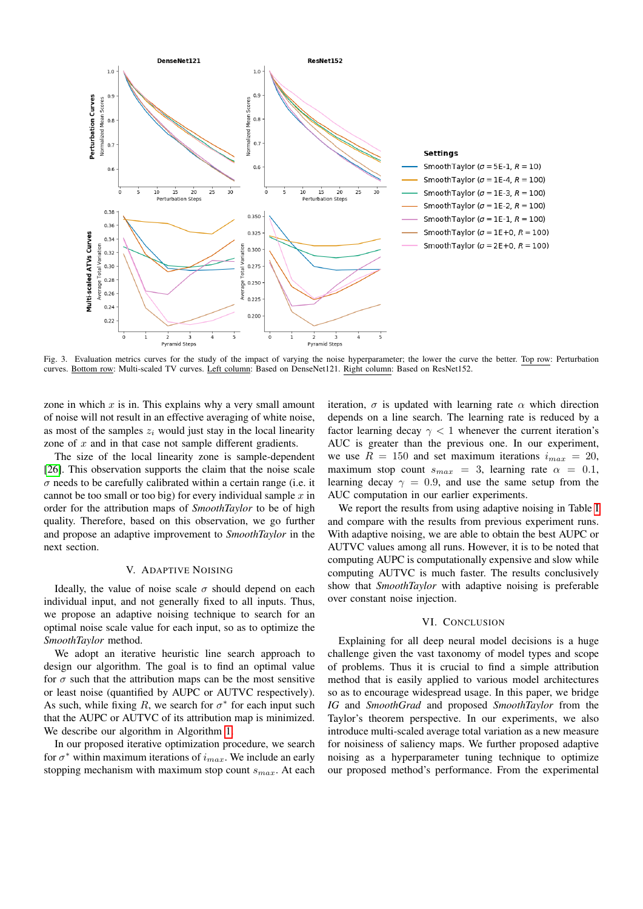

<span id="page-6-1"></span>Fig. 3. Evaluation metrics curves for the study of the impact of varying the noise hyperparameter; the lower the curve the better. Top row: Perturbation curves. Bottom row: Multi-scaled TV curves. Left column: Based on DenseNet121. Right column: Based on ResNet152.

zone in which  $x$  is in. This explains why a very small amount of noise will not result in an effective averaging of white noise, as most of the samples  $z_i$  would just stay in the local linearity zone of  $x$  and in that case not sample different gradients.

The size of the local linearity zone is sample-dependent [\[26\]](#page-7-22). This observation supports the claim that the noise scale  $\sigma$  needs to be carefully calibrated within a certain range (i.e. it cannot be too small or too big) for every individual sample  $x$  in order for the attribution maps of *SmoothTaylor* to be of high quality. Therefore, based on this observation, we go further and propose an adaptive improvement to *SmoothTaylor* in the next section.

## V. ADAPTIVE NOISING

<span id="page-6-0"></span>Ideally, the value of noise scale  $\sigma$  should depend on each individual input, and not generally fixed to all inputs. Thus, we propose an adaptive noising technique to search for an optimal noise scale value for each input, so as to optimize the *SmoothTaylor* method.

We adopt an iterative heuristic line search approach to design our algorithm. The goal is to find an optimal value for  $\sigma$  such that the attribution maps can be the most sensitive or least noise (quantified by AUPC or AUTVC respectively). As such, while fixing R, we search for  $\sigma^*$  for each input such that the AUPC or AUTVC of its attribution map is minimized. We describe our algorithm in Algorithm [1.](#page-7-23)

In our proposed iterative optimization procedure, we search for  $\sigma^*$  within maximum iterations of  $i_{max}$ . We include an early stopping mechanism with maximum stop count  $s_{max}$ . At each iteration,  $\sigma$  is updated with learning rate  $\alpha$  which direction depends on a line search. The learning rate is reduced by a factor learning decay  $\gamma$  < 1 whenever the current iteration's AUC is greater than the previous one. In our experiment, we use  $R = 150$  and set maximum iterations  $i_{max} = 20$ , maximum stop count  $s_{max} = 3$ , learning rate  $\alpha = 0.1$ , learning decay  $\gamma = 0.9$ , and use the same setup from the AUC computation in our earlier experiments.

We report the results from using adaptive noising in Table [I](#page-5-0) and compare with the results from previous experiment runs. With adaptive noising, we are able to obtain the best AUPC or AUTVC values among all runs. However, it is to be noted that computing AUPC is computationally expensive and slow while computing AUTVC is much faster. The results conclusively show that *SmoothTaylor* with adaptive noising is preferable over constant noise injection.

## VI. CONCLUSION

Explaining for all deep neural model decisions is a huge challenge given the vast taxonomy of model types and scope of problems. Thus it is crucial to find a simple attribution method that is easily applied to various model architectures so as to encourage widespread usage. In this paper, we bridge *IG* and *SmoothGrad* and proposed *SmoothTaylor* from the Taylor's theorem perspective. In our experiments, we also introduce multi-scaled average total variation as a new measure for noisiness of saliency maps. We further proposed adaptive noising as a hyperparameter tuning technique to optimize our proposed method's performance. From the experimental